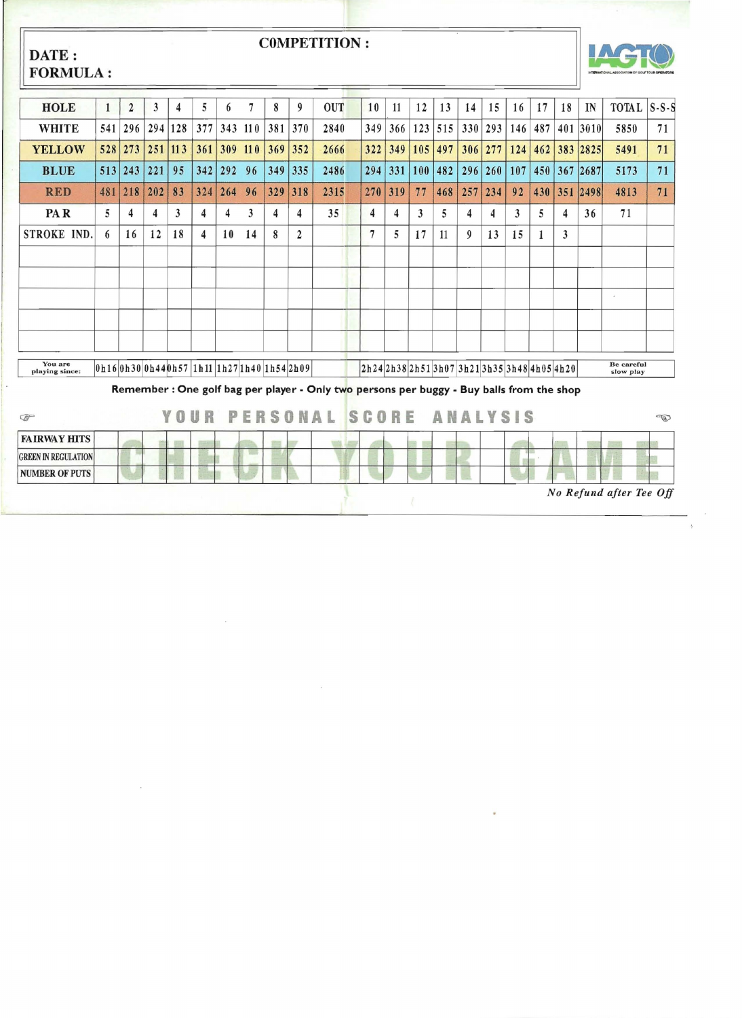| DATE:                      | <b>COMPETITION:</b><br><b>FORMULA:</b>                                                            |                |     |     |      |         |                |                         |                |                                                                                           |  |                |                                |     |     |                 |     |     |     |    |          |                         |    |
|----------------------------|---------------------------------------------------------------------------------------------------|----------------|-----|-----|------|---------|----------------|-------------------------|----------------|-------------------------------------------------------------------------------------------|--|----------------|--------------------------------|-----|-----|-----------------|-----|-----|-----|----|----------|-------------------------|----|
| <b>HOLE</b>                | $\mathbf{1}$                                                                                      | $\overline{2}$ | 3   | 4   | 5    | 6       | $\overline{7}$ | 8                       | 9              | <b>OUT</b>                                                                                |  | 10             | 11                             | 12  | 13  | 14              | 15  | 16  | 17  | 18 | IN       | TOTAL S-S-S             |    |
| <b>WHITE</b>               | 541                                                                                               | 296            | 294 | 128 | 377  |         | 343 110        | 381                     | 370            | 2840                                                                                      |  | 349            | 366                            | 123 | 515 | 330             | 293 | 146 | 487 |    | 401 3010 | 5850                    | 71 |
| <b>YELLOW</b>              |                                                                                                   | 528 273        | 251 | 113 | 361  | 309 110 |                | 369                     | 352            | 2666                                                                                      |  | 322            | 349                            | 105 | 497 | 306             | 277 | 124 | 462 |    | 383 2825 | 5491                    | 71 |
| <b>BLUE</b>                |                                                                                                   | 513 243        | 221 | 95  | 342  | 292 96  |                | 349                     | 335            | 2486                                                                                      |  | 294            | 331                            | 100 | 482 | 296             | 260 | 107 | 450 |    | 367 2687 | 5173                    | 71 |
| <b>RED</b>                 | 481                                                                                               | 218            | 202 | 83  | 324  | 264 96  |                | 329                     | 318            | 2315                                                                                      |  | 270            | 319                            | 77  | 468 | 257             | 234 | 92  | 430 |    | 351 2498 | 4813                    | 71 |
| PAR                        | 5                                                                                                 | 4              | 4   | 3   | 4    | 4       | 3              | $\overline{\mathbf{4}}$ | $\overline{4}$ | 35                                                                                        |  | 4              | 4                              | 3   | 5   | 4               | 4   | 3   | 5   | 4  | 36       | 71                      |    |
| STROKE IND.                | 6                                                                                                 | 16             | 12  | 18  | 4    | 10      | 14             | 8                       | $\overline{2}$ |                                                                                           |  | $\overline{7}$ | 5                              | 17  | 11  | 9               | 13  | 15  | 1   | 3  |          |                         |    |
|                            |                                                                                                   |                |     |     |      |         |                |                         |                |                                                                                           |  |                |                                |     |     |                 |     |     |     |    |          |                         |    |
|                            |                                                                                                   |                |     |     |      |         |                |                         |                |                                                                                           |  |                |                                |     |     |                 |     |     |     |    |          |                         |    |
|                            |                                                                                                   |                |     |     |      |         |                |                         |                |                                                                                           |  |                |                                |     |     |                 |     |     |     |    |          | $\omega$                |    |
|                            |                                                                                                   |                |     |     |      |         |                |                         |                |                                                                                           |  |                |                                |     |     |                 |     |     |     |    |          |                         |    |
|                            |                                                                                                   |                |     |     |      |         |                |                         |                |                                                                                           |  |                |                                |     |     |                 |     |     |     |    |          |                         |    |
| You are<br>playing since:  | $ 0 h16 0 h30 0 h44 0 h57 1 h11 1 h27 1 h40 1 h54 2 h09 $<br>2h242h382h513h073h213h353h484h054h20 |                |     |     |      |         |                |                         |                |                                                                                           |  |                | <b>Be careful</b><br>slow play |     |     |                 |     |     |     |    |          |                         |    |
|                            |                                                                                                   |                |     |     |      |         |                |                         |                | Remember : One golf bag per player - Only two persons per buggy - Buy balls from the shop |  |                |                                |     |     |                 |     |     |     |    |          |                         |    |
| $\mathbb{F}$               |                                                                                                   |                |     |     | YOUR |         |                |                         |                | PERSONAL                                                                                  |  | <b>SCORE</b>   |                                |     |     | <b>ANALYSIS</b> |     |     |     |    |          |                         | Ð  |
| <b>FAIRWAY HITS</b>        |                                                                                                   |                |     |     |      |         |                |                         |                |                                                                                           |  |                |                                |     |     |                 |     |     |     |    |          |                         |    |
| <b>GREEN IN REGULATION</b> |                                                                                                   |                |     |     |      |         |                |                         |                |                                                                                           |  |                |                                |     |     |                 |     |     |     |    |          |                         |    |
| <b>NUMBER OF PUTS</b>      |                                                                                                   |                |     |     |      |         |                |                         |                |                                                                                           |  |                |                                |     |     |                 |     |     |     |    |          |                         |    |
|                            |                                                                                                   |                |     |     |      |         |                |                         |                |                                                                                           |  |                |                                |     |     |                 |     |     |     |    |          | No Refund after Tee Off |    |

 $\label{eq:2.1} \frac{1}{\sqrt{2}}\int_{\mathbb{R}^3} \frac{1}{\sqrt{2}}\left(\frac{1}{\sqrt{2}}\right)^2\left(\frac{1}{\sqrt{2}}\right)^2\left(\frac{1}{\sqrt{2}}\right)^2\left(\frac{1}{\sqrt{2}}\right)^2\left(\frac{1}{\sqrt{2}}\right)^2\left(\frac{1}{\sqrt{2}}\right)^2.$ 

 $\label{eq:2.1} \mathcal{L}(\mathcal{L}^{\text{max}}_{\mathcal{L}}(\mathcal{L}^{\text{max}}_{\mathcal{L}})) \leq \mathcal{L}(\mathcal{L}^{\text{max}}_{\mathcal{L}}(\mathcal{L}^{\text{max}}_{\mathcal{L}}))$ 

 $\label{eq:2.1} \frac{1}{2} \int_{\mathbb{R}^3} \frac{1}{\sqrt{2}} \, \frac{1}{\sqrt{2}} \, \frac{1}{\sqrt{2}} \, \frac{1}{\sqrt{2}} \, \frac{1}{\sqrt{2}} \, \frac{1}{\sqrt{2}} \, \frac{1}{\sqrt{2}} \, \frac{1}{\sqrt{2}} \, \frac{1}{\sqrt{2}} \, \frac{1}{\sqrt{2}} \, \frac{1}{\sqrt{2}} \, \frac{1}{\sqrt{2}} \, \frac{1}{\sqrt{2}} \, \frac{1}{\sqrt{2}} \, \frac{1}{\sqrt{2}} \, \frac{1}{\sqrt{2}} \,$ 

 $\mathbf{X} = \mathbf{X} \times \mathbf{X}$  . The  $\mathbf{X}$